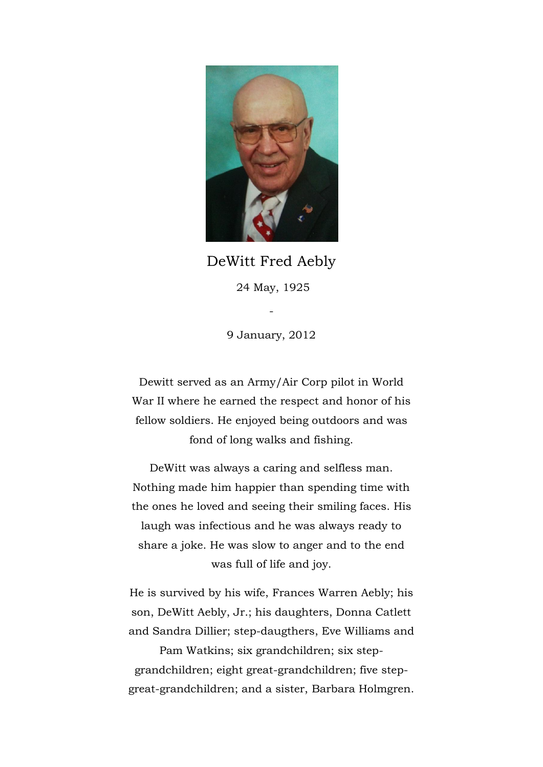

DeWitt Fred Aebly 24 May, 1925

9 January, 2012

-

Dewitt served as an Army/Air Corp pilot in World War II where he earned the respect and honor of his fellow soldiers. He enjoyed being outdoors and was fond of long walks and fishing.

DeWitt was always a caring and selfless man. Nothing made him happier than spending time with the ones he loved and seeing their smiling faces. His laugh was infectious and he was always ready to share a joke. He was slow to anger and to the end was full of life and joy.

He is survived by his wife, Frances Warren Aebly; his son, DeWitt Aebly, Jr.; his daughters, Donna Catlett and Sandra Dillier; step-daugthers, Eve Williams and

Pam Watkins; six grandchildren; six stepgrandchildren; eight great-grandchildren; five stepgreat-grandchildren; and a sister, Barbara Holmgren.